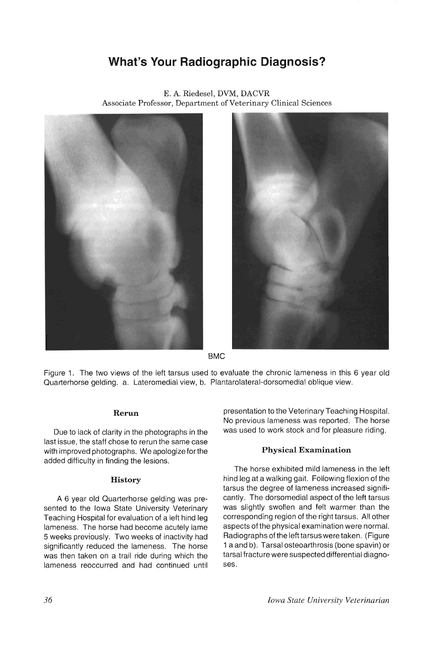# **What's Your Radiographic Diagnosis?**



E. A. Riedesel, DVM, DACVR Associate Professor, Department of Veterinary Clinical Sciences



BMC

Figure 1. The two views of the left tarsus used to evaluate the chronic lameness in this 6 year old Quarterhorse gelding. a. Lateromedial view, b. Plantarolateral-dorsomedial oblique view.

# **Rerun**

Due to lack of clarity in the photographs in the last issue, the staff chose to rerun the same case with improved photographs. We apologize for the added difficulty in finding the lesions.

#### **History**

A 6 year old Quarterhorse gelding was presented to the Iowa State University Veterinary Teaching Hospital for evaluation of a left hind leg lameness. The horse had become acutely lame 5 weeks previously. Two weeks of inactivity had significantly reduced the lameness. The horse was then taken on a trail ride during which the lameness reoccurred and had continued until presentation to the Veterinary Teaching Hospital. No previous lameness was reported. The horse was used to work stock and for pleasure riding.

# **Physical Examination**

The horse exhibited mild lameness in the left hind leg at a walking gait. Following flexion of the tarsus the degree of lameness increased significantly. The dorsomedial aspect of the left tarsus was slightly swollen and felt warmer than the corresponding region of the right tarsus. All other aspects of the physical examination were normal. Radiographs of the left tarsus were taken. (Figure 1 a and b). Tarsal osteoarthrosis (bone spavin) or tarsal fracture were suspected differential diagnoses.